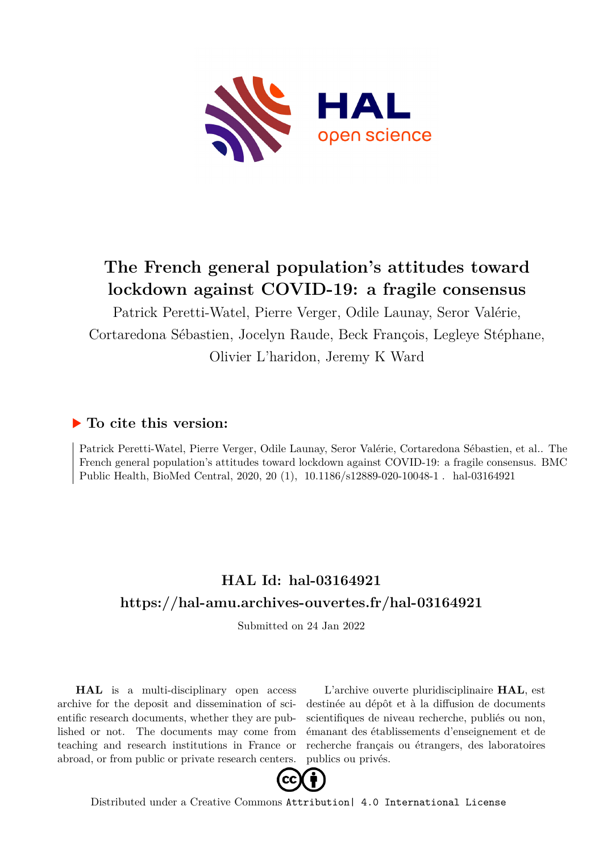

## **The French general population's attitudes toward lockdown against COVID-19: a fragile consensus**

Patrick Peretti-Watel, Pierre Verger, Odile Launay, Seror Valérie, Cortaredona Sébastien, Jocelyn Raude, Beck François, Legleye Stéphane, Olivier L'haridon, Jeremy K Ward

## **To cite this version:**

Patrick Peretti-Watel, Pierre Verger, Odile Launay, Seror Valérie, Cortaredona Sébastien, et al.. The French general population's attitudes toward lockdown against COVID-19: a fragile consensus. BMC Public Health, BioMed Central, 2020, 20 (1), 10.1186/s12889-020-10048-1. hal-03164921

## **HAL Id: hal-03164921 <https://hal-amu.archives-ouvertes.fr/hal-03164921>**

Submitted on 24 Jan 2022

**HAL** is a multi-disciplinary open access archive for the deposit and dissemination of scientific research documents, whether they are published or not. The documents may come from teaching and research institutions in France or abroad, or from public or private research centers.

L'archive ouverte pluridisciplinaire **HAL**, est destinée au dépôt et à la diffusion de documents scientifiques de niveau recherche, publiés ou non, émanant des établissements d'enseignement et de recherche français ou étrangers, des laboratoires publics ou privés.



Distributed under a Creative Commons [Attribution| 4.0 International License](http://creativecommons.org/licenses/by/4.0/)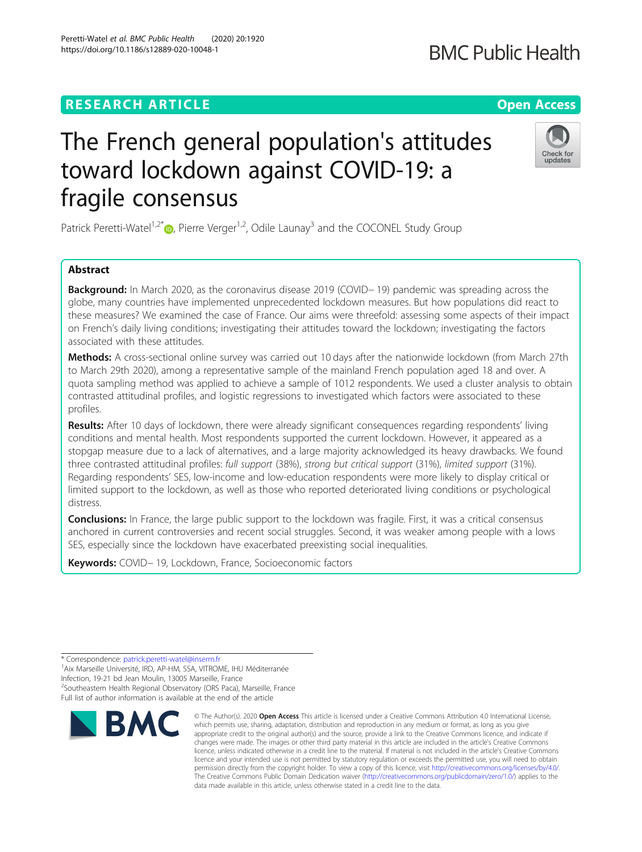## **RESEARCH ARTICLE Example 2014 12:30 The Contract of Contract ACCESS**

# The French general population's attitudes toward lockdown against COVID-19: a fragile consensus

Patrick Peretti-Watel<sup>1,2[\\*](http://orcid.org/0000-0002-4675-0478)</sup> $\bullet$ , Pierre Verger<sup>1,2</sup>, Odile Launay<sup>3</sup> and the COCONEL Study Group

### Abstract

**Background:** In March 2020, as the coronavirus disease 2019 (COVID− 19) pandemic was spreading across the globe, many countries have implemented unprecedented lockdown measures. But how populations did react to these measures? We examined the case of France. Our aims were threefold: assessing some aspects of their impact on French's daily living conditions; investigating their attitudes toward the lockdown; investigating the factors associated with these attitudes.

Methods: A cross-sectional online survey was carried out 10 days after the nationwide lockdown (from March 27th to March 29th 2020), among a representative sample of the mainland French population aged 18 and over. A quota sampling method was applied to achieve a sample of 1012 respondents. We used a cluster analysis to obtain contrasted attitudinal profiles, and logistic regressions to investigated which factors were associated to these profiles.

Results: After 10 days of lockdown, there were already significant consequences regarding respondents' living conditions and mental health. Most respondents supported the current lockdown. However, it appeared as a stopgap measure due to a lack of alternatives, and a large majority acknowledged its heavy drawbacks. We found three contrasted attitudinal profiles: full support (38%), strong but critical support (31%), limited support (31%). Regarding respondents' SES, low-income and low-education respondents were more likely to display critical or limited support to the lockdown, as well as those who reported deteriorated living conditions or psychological distress.

**Conclusions:** In France, the large public support to the lockdown was fragile. First, it was a critical consensus anchored in current controversies and recent social struggles. Second, it was weaker among people with a lows SES, especially since the lockdown have exacerbated preexisting social inequalities.

Keywords: COVID-19, Lockdown, France, Socioeconomic factors

Infection, 19-21 bd Jean Moulin, 13005 Marseille, France

<sup>2</sup>Southeastern Health Regional Observatory (ORS Paca), Marseille, France Full list of author information is available at the end of the article

© The Author(s), 2020 **Open Access** This article is licensed under a Creative Commons Attribution 4.0 International License, which permits use, sharing, adaptation, distribution and reproduction in any medium or format, as long as you give





<sup>\*</sup> Correspondence: [patrick.peretti-watel@inserm.fr](mailto:patrick.peretti-watel@inserm.fr) <sup>1</sup>

<sup>&</sup>lt;sup>1</sup> Aix Marseille Université, IRD, AP-HM, SSA, VITROME, IHU Méditerranée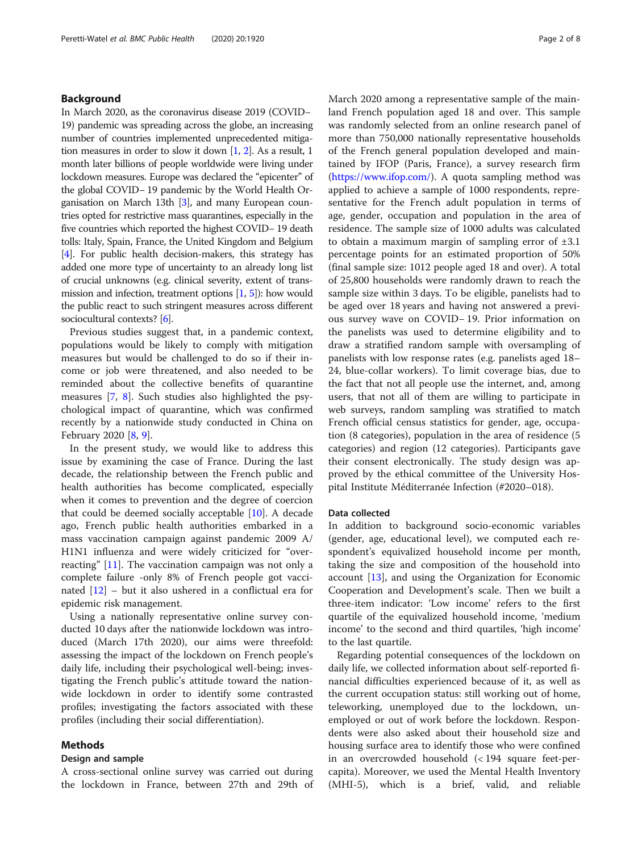#### Background

In March 2020, as the coronavirus disease 2019 (COVID− 19) pandemic was spreading across the globe, an increasing number of countries implemented unprecedented mitigation measures in order to slow it down [1, 2]. As a result, 1 month later billions of people worldwide were living under lockdown measures. Europe was declared the "epicenter" of the global COVID− 19 pandemic by the World Health Organisation on March 13th [3], and many European countries opted for restrictive mass quarantines, especially in the five countries which reported the highest COVID− 19 death tolls: Italy, Spain, France, the United Kingdom and Belgium [4]. For public health decision-makers, this strategy has added one more type of uncertainty to an already long list of crucial unknowns (e.g. clinical severity, extent of transmission and infection, treatment options [1, 5]): how would the public react to such stringent measures across different sociocultural contexts? [6].

Previous studies suggest that, in a pandemic context, populations would be likely to comply with mitigation measures but would be challenged to do so if their income or job were threatened, and also needed to be reminded about the collective benefits of quarantine measures [7, 8]. Such studies also highlighted the psychological impact of quarantine, which was confirmed recently by a nationwide study conducted in China on February 2020 [8, 9].

In the present study, we would like to address this issue by examining the case of France. During the last decade, the relationship between the French public and health authorities has become complicated, especially when it comes to prevention and the degree of coercion that could be deemed socially acceptable [10]. A decade ago, French public health authorities embarked in a mass vaccination campaign against pandemic 2009 A/ H1N1 influenza and were widely criticized for "overreacting" [11]. The vaccination campaign was not only a complete failure -only 8% of French people got vaccinated [12] – but it also ushered in a conflictual era for epidemic risk management.

Using a nationally representative online survey conducted 10 days after the nationwide lockdown was introduced (March 17th 2020), our aims were threefold: assessing the impact of the lockdown on French people's daily life, including their psychological well-being; investigating the French public's attitude toward the nationwide lockdown in order to identify some contrasted profiles; investigating the factors associated with these profiles (including their social differentiation).

#### Methods

#### Design and sample

A cross-sectional online survey was carried out during the lockdown in France, between 27th and 29th of March 2020 among a representative sample of the mainland French population aged 18 and over. This sample was randomly selected from an online research panel of more than 750,000 nationally representative households of the French general population developed and maintained by IFOP (Paris, France), a survey research firm ([https://www.ifop.com/\)](https://www.ifop.com/). A quota sampling method was applied to achieve a sample of 1000 respondents, representative for the French adult population in terms of age, gender, occupation and population in the area of residence. The sample size of 1000 adults was calculated to obtain a maximum margin of sampling error of  $\pm 3.1$ percentage points for an estimated proportion of 50% (final sample size: 1012 people aged 18 and over). A total of 25,800 households were randomly drawn to reach the sample size within 3 days. To be eligible, panelists had to be aged over 18 years and having not answered a previous survey wave on COVID− 19. Prior information on the panelists was used to determine eligibility and to draw a stratified random sample with oversampling of panelists with low response rates (e.g. panelists aged 18– 24, blue-collar workers). To limit coverage bias, due to the fact that not all people use the internet, and, among users, that not all of them are willing to participate in web surveys, random sampling was stratified to match French official census statistics for gender, age, occupation (8 categories), population in the area of residence (5 categories) and region (12 categories). Participants gave their consent electronically. The study design was approved by the ethical committee of the University Hospital Institute Méditerranée Infection (#2020–018).

#### Data collected

In addition to background socio-economic variables (gender, age, educational level), we computed each respondent's equivalized household income per month, taking the size and composition of the household into account [13], and using the Organization for Economic Cooperation and Development's scale. Then we built a three-item indicator: 'Low income' refers to the first quartile of the equivalized household income, 'medium income' to the second and third quartiles, 'high income' to the last quartile.

Regarding potential consequences of the lockdown on daily life, we collected information about self-reported financial difficulties experienced because of it, as well as the current occupation status: still working out of home, teleworking, unemployed due to the lockdown, unemployed or out of work before the lockdown. Respondents were also asked about their household size and housing surface area to identify those who were confined in an overcrowded household (< 194 square feet-percapita). Moreover, we used the Mental Health Inventory (MHI-5), which is a brief, valid, and reliable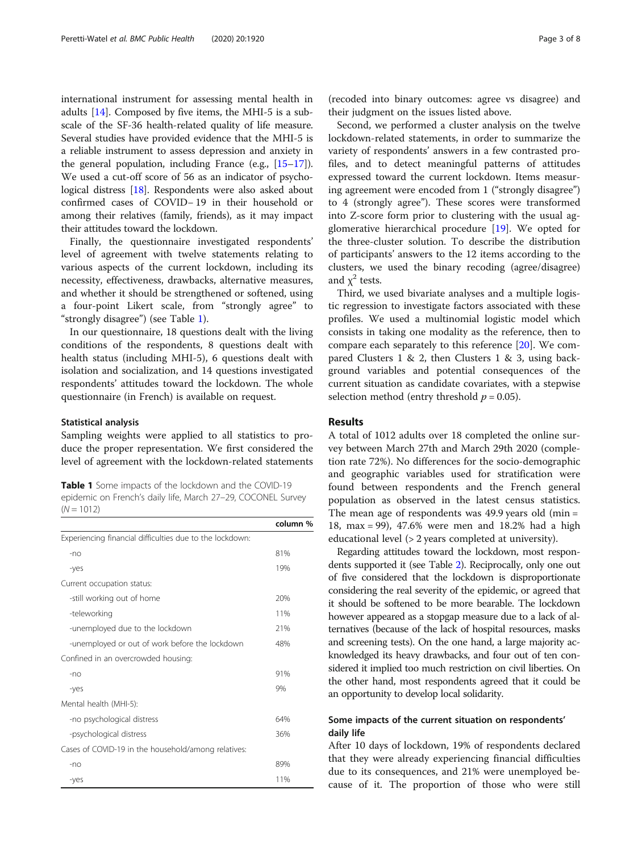international instrument for assessing mental health in adults  $[14]$ . Composed by five items, the MHI-5 is a subscale of the SF-36 health-related quality of life measure. Several studies have provided evidence that the MHI-5 is a reliable instrument to assess depression and anxiety in the general population, including France (e.g., [15–17]). We used a cut-off score of 56 as an indicator of psychological distress [18]. Respondents were also asked about confirmed cases of COVID− 19 in their household or among their relatives (family, friends), as it may impact their attitudes toward the lockdown.

Finally, the questionnaire investigated respondents' level of agreement with twelve statements relating to various aspects of the current lockdown, including its necessity, effectiveness, drawbacks, alternative measures, and whether it should be strengthened or softened, using a four-point Likert scale, from "strongly agree" to "strongly disagree") (see Table 1).

In our questionnaire, 18 questions dealt with the living conditions of the respondents, 8 questions dealt with health status (including MHI-5), 6 questions dealt with isolation and socialization, and 14 questions investigated respondents' attitudes toward the lockdown. The whole questionnaire (in French) is available on request.

#### Statistical analysis

Sampling weights were applied to all statistics to produce the proper representation. We first considered the level of agreement with the lockdown-related statements

Table 1 Some impacts of the lockdown and the COVID-19 epidemic on French's daily life, March 27–29, COCONEL Survey  $(N = 1012)$ 

|                                                          | column % |
|----------------------------------------------------------|----------|
| Experiencing financial difficulties due to the lockdown: |          |
| $-n$                                                     | 81%      |
| -yes                                                     | 19%      |
| Current occupation status:                               |          |
| -still working out of home                               | 20%      |
| -teleworking                                             | 11%      |
| -unemployed due to the lockdown                          | 21%      |
| -unemployed or out of work before the lockdown           | 48%      |
| Confined in an overcrowded housing:                      |          |
| $-no$                                                    | 91%      |
| -yes                                                     | 9%       |
| Mental health (MHI-5):                                   |          |
| -no psychological distress                               | 64%      |
| -psychological distress                                  | 36%      |
| Cases of COVID-19 in the household/among relatives:      |          |
| $-n$                                                     | 89%      |
| -yes                                                     | 11%      |

(recoded into binary outcomes: agree vs disagree) and their judgment on the issues listed above.

Second, we performed a cluster analysis on the twelve lockdown-related statements, in order to summarize the variety of respondents' answers in a few contrasted profiles, and to detect meaningful patterns of attitudes expressed toward the current lockdown. Items measuring agreement were encoded from 1 ("strongly disagree") to 4 (strongly agree"). These scores were transformed into Z-score form prior to clustering with the usual agglomerative hierarchical procedure [19]. We opted for the three-cluster solution. To describe the distribution of participants' answers to the 12 items according to the clusters, we used the binary recoding (agree/disagree) and  $\chi^2$  tests.

Third, we used bivariate analyses and a multiple logistic regression to investigate factors associated with these profiles. We used a multinomial logistic model which consists in taking one modality as the reference, then to compare each separately to this reference [20]. We compared Clusters 1 & 2, then Clusters 1 & 3, using background variables and potential consequences of the current situation as candidate covariates, with a stepwise selection method (entry threshold  $p = 0.05$ ).

#### Results

A total of 1012 adults over 18 completed the online survey between March 27th and March 29th 2020 (completion rate 72%). No differences for the socio-demographic and geographic variables used for stratification were found between respondents and the French general population as observed in the latest census statistics. The mean age of respondents was 49.9 years old (min = 18, max = 99), 47.6% were men and 18.2% had a high educational level (> 2 years completed at university).

Regarding attitudes toward the lockdown, most respondents supported it (see Table 2). Reciprocally, only one out of five considered that the lockdown is disproportionate considering the real severity of the epidemic, or agreed that it should be softened to be more bearable. The lockdown however appeared as a stopgap measure due to a lack of alternatives (because of the lack of hospital resources, masks and screening tests). On the one hand, a large majority acknowledged its heavy drawbacks, and four out of ten considered it implied too much restriction on civil liberties. On the other hand, most respondents agreed that it could be an opportunity to develop local solidarity.

#### Some impacts of the current situation on respondents' daily life

After 10 days of lockdown, 19% of respondents declared that they were already experiencing financial difficulties due to its consequences, and 21% were unemployed because of it. The proportion of those who were still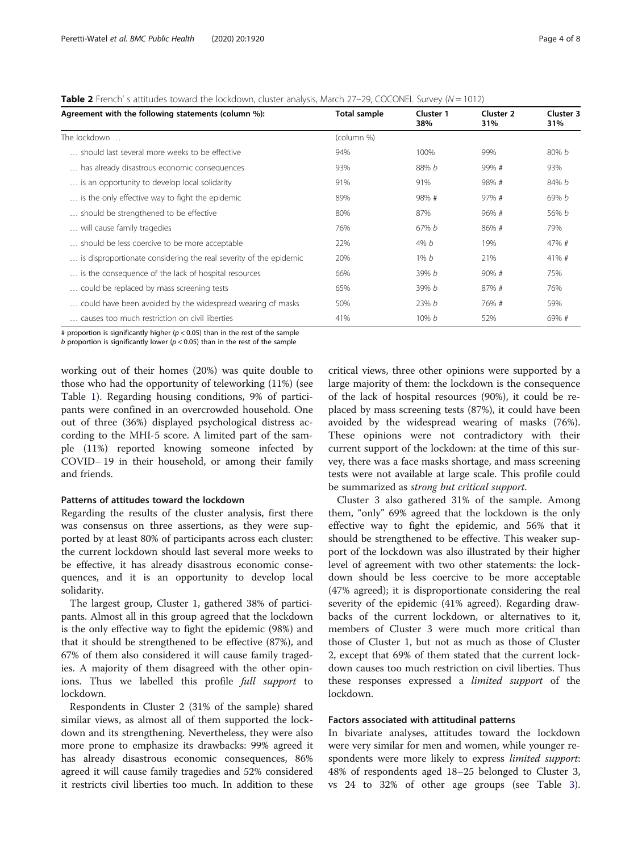**Table 2** French' s attitudes toward the lockdown, cluster analysis, March 27–29, COCONEL Survey ( $N = 1012$ )

| Agreement with the following statements (column %):<br>Total sample |              | Cluster 1<br>38% | Cluster 2<br>31% | <b>Cluster 3</b><br>31% |
|---------------------------------------------------------------------|--------------|------------------|------------------|-------------------------|
| The lockdown                                                        | (column %)   |                  |                  |                         |
| should last several more weeks to be effective                      | 100%<br>94%  |                  | 99%              | 80% b                   |
| has already disastrous economic consequences                        | 88% b<br>93% |                  | 99%#             | 93%                     |
| is an opportunity to develop local solidarity                       | 91%          | 91%              | 98%#             | 84% b                   |
| is the only effective way to fight the epidemic                     | 89%          | 98%#             | 97%#             | 69% b                   |
| should be strengthened to be effective                              | 80%          | 87%              | 96%#             | 56% b                   |
| will cause family tragedies                                         | 76%          | 67% b            | 86%#             | 79%                     |
| should be less coercive to be more acceptable                       | 22%          | 4% <i>b</i>      | 19%              | 47%#                    |
| is disproportionate considering the real severity of the epidemic   | 20%          | $1\% b$          | 21%              | 41%#                    |
| is the consequence of the lack of hospital resources                | 66%          | 39% b            | 90%#             | 75%                     |
| could be replaced by mass screening tests                           | 65%          | 39% b            | 87%#             | 76%                     |
| could have been avoided by the widespread wearing of masks          | 50%          | 23%b             | 76%#             | 59%                     |
| causes too much restriction on civil liberties                      | 41%          | $10\% b$         | 52%              | 69%#                    |

# proportion is significantly higher ( $p < 0.05$ ) than in the rest of the sample

b proportion is significantly lower ( $p < 0.05$ ) than in the rest of the sample

working out of their homes (20%) was quite double to those who had the opportunity of teleworking (11%) (see Table 1). Regarding housing conditions, 9% of participants were confined in an overcrowded household. One out of three (36%) displayed psychological distress according to the MHI-5 score. A limited part of the sample (11%) reported knowing someone infected by COVID− 19 in their household, or among their family and friends.

#### Patterns of attitudes toward the lockdown

Regarding the results of the cluster analysis, first there was consensus on three assertions, as they were supported by at least 80% of participants across each cluster: the current lockdown should last several more weeks to be effective, it has already disastrous economic consequences, and it is an opportunity to develop local solidarity.

The largest group, Cluster 1, gathered 38% of participants. Almost all in this group agreed that the lockdown is the only effective way to fight the epidemic (98%) and that it should be strengthened to be effective (87%), and 67% of them also considered it will cause family tragedies. A majority of them disagreed with the other opinions. Thus we labelled this profile full support to lockdown.

Respondents in Cluster 2 (31% of the sample) shared similar views, as almost all of them supported the lockdown and its strengthening. Nevertheless, they were also more prone to emphasize its drawbacks: 99% agreed it has already disastrous economic consequences, 86% agreed it will cause family tragedies and 52% considered it restricts civil liberties too much. In addition to these critical views, three other opinions were supported by a large majority of them: the lockdown is the consequence of the lack of hospital resources (90%), it could be replaced by mass screening tests (87%), it could have been avoided by the widespread wearing of masks (76%). These opinions were not contradictory with their current support of the lockdown: at the time of this survey, there was a face masks shortage, and mass screening tests were not available at large scale. This profile could be summarized as strong but critical support.

Cluster 3 also gathered 31% of the sample. Among them, "only" 69% agreed that the lockdown is the only effective way to fight the epidemic, and 56% that it should be strengthened to be effective. This weaker support of the lockdown was also illustrated by their higher level of agreement with two other statements: the lockdown should be less coercive to be more acceptable (47% agreed); it is disproportionate considering the real severity of the epidemic (41% agreed). Regarding drawbacks of the current lockdown, or alternatives to it, members of Cluster 3 were much more critical than those of Cluster 1, but not as much as those of Cluster 2, except that 69% of them stated that the current lockdown causes too much restriction on civil liberties. Thus these responses expressed a limited support of the lockdown.

#### Factors associated with attitudinal patterns

In bivariate analyses, attitudes toward the lockdown were very similar for men and women, while younger respondents were more likely to express *limited support*: 48% of respondents aged 18–25 belonged to Cluster 3, vs 24 to 32% of other age groups (see Table 3).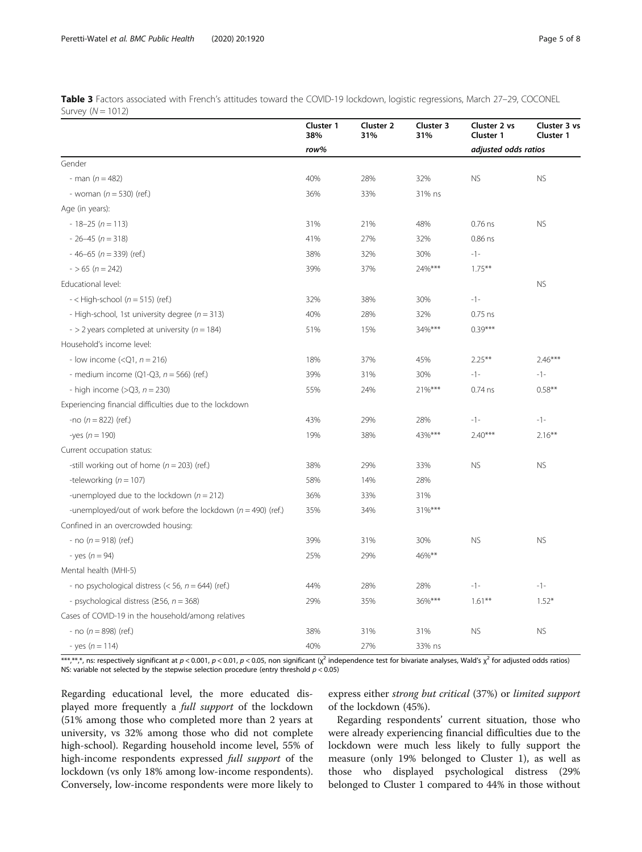Table 3 Factors associated with French's attitudes toward the COVID-19 lockdown, logistic regressions, March 27-29, COCONEL Survey  $(N = 1012)$ 

|                                                                  | Cluster 1<br>38% | Cluster 2<br>31% | Cluster 3<br>31% | Cluster 2 vs<br>Cluster 1 | Cluster 3 vs<br>Cluster 1 |
|------------------------------------------------------------------|------------------|------------------|------------------|---------------------------|---------------------------|
|                                                                  | row%             |                  |                  | adjusted odds ratios      |                           |
| Gender                                                           |                  |                  |                  |                           |                           |
| - man $(n = 482)$                                                | 40%              | 28%              | 32%              | <b>NS</b>                 | <b>NS</b>                 |
| - woman $(n = 530)$ (ref.)                                       | 36%              | 33%              | 31% ns           |                           |                           |
| Age (in years):                                                  |                  |                  |                  |                           |                           |
| $-18-25(n=113)$                                                  | 31%              | 21%              | 48%              | $0.76$ ns                 | <b>NS</b>                 |
| $-26-45(n=318)$                                                  | 41%              | 27%              | 32%              | $0.86$ ns                 |                           |
| $-46-65$ ( $n = 339$ ) (ref.)                                    | 38%              | 32%              | 30%              | $-1-$                     |                           |
| $-$ > 65 (n = 242)                                               | 39%              | 37%              | 24%***           | $1.75***$                 |                           |
| Educational level:                                               |                  |                  |                  |                           | <b>NS</b>                 |
| $-$ < High-school ( $n = 515$ ) (ref.)                           | 32%              | 38%              | 30%              | $-1-$                     |                           |
| - High-school, 1st university degree ( $n = 313$ )               | 40%              | 28%              | 32%              | $0.75$ ns                 |                           |
| - > 2 years completed at university ( $n = 184$ )                | 51%              | 15%              | 34%***           | $0.39***$                 |                           |
| Household's income level:                                        |                  |                  |                  |                           |                           |
| - low income $(Q1, n = 216)$                                     | 18%              | 37%              | 45%              | $2.25***$                 | $2.46***$                 |
| - medium income (Q1-Q3, $n = 566$ ) (ref.)                       | 39%              | 31%              | 30%              | $-1-$                     | $-1-$                     |
| - high income $(>Q3, n = 230)$                                   | 55%              | 24%              | 21%***           | $0.74$ ns                 | $0.58**$                  |
| Experiencing financial difficulties due to the lockdown          |                  |                  |                  |                           |                           |
| -no $(n = 822)$ (ref.)                                           | 43%              | 29%              | 28%              | $-1-$                     | $-1-$                     |
| -yes ( $n = 190$ )                                               | 19%              | 38%              | 43%***           | $2.40***$                 | $2.16***$                 |
| Current occupation status:                                       |                  |                  |                  |                           |                           |
| -still working out of home ( $n = 203$ ) (ref.)                  | 38%              | 29%              | 33%              | <b>NS</b>                 | <b>NS</b>                 |
| -teleworking ( $n = 107$ )                                       | 58%              | 14%              | 28%              |                           |                           |
| -unemployed due to the lockdown ( $n = 212$ )                    | 36%              | 33%              | 31%              |                           |                           |
| -unemployed/out of work before the lockdown ( $n = 490$ ) (ref.) | 35%              | 34%              | 31%***           |                           |                           |
| Confined in an overcrowded housing:                              |                  |                  |                  |                           |                           |
| - no $(n = 918)$ (ref.)                                          | 39%              | 31%              | 30%              | <b>NS</b>                 | <b>NS</b>                 |
| - yes $(n = 94)$                                                 | 25%              | 29%              | 46%**            |                           |                           |
| Mental health (MHI-5)                                            |                  |                  |                  |                           |                           |
| - no psychological distress ( $<$ 56, $n$ = 644) (ref.)          | 44%              | 28%              | 28%              | $-1-$                     | $-1-$                     |
| - psychological distress ( $\geq$ 56, n = 368)                   | 29%              | 35%              | 36%***           | $1.61***$                 | $1.52*$                   |
| Cases of COVID-19 in the household/among relatives               |                  |                  |                  |                           |                           |
| - no $(n = 898)$ (ref.)                                          | 38%              | 31%              | 31%              | <b>NS</b>                 | <b>NS</b>                 |
| - yes ( $n = 114$ )                                              | 40%              | 27%              | 33% ns           |                           |                           |

\*\*\*,\*\*,\*,\*, ns: respectively significant at  $p < 0.001$ ,  $p < 0.01$ ,  $p < 0.05$ , non significant ( $\chi^2$  independence test for bivariate analyses, Wald's  $\chi^2$  for adjusted odds ratios) NS: variable not selected by the stepwise selection procedure (entry threshold  $p < 0.05$ )

Regarding educational level, the more educated displayed more frequently a full support of the lockdown (51% among those who completed more than 2 years at university, vs 32% among those who did not complete high-school). Regarding household income level, 55% of high-income respondents expressed full support of the lockdown (vs only 18% among low-income respondents). Conversely, low-income respondents were more likely to

express either strong but critical (37%) or limited support of the lockdown (45%).

Regarding respondents' current situation, those who were already experiencing financial difficulties due to the lockdown were much less likely to fully support the measure (only 19% belonged to Cluster 1), as well as those who displayed psychological distress (29% belonged to Cluster 1 compared to 44% in those without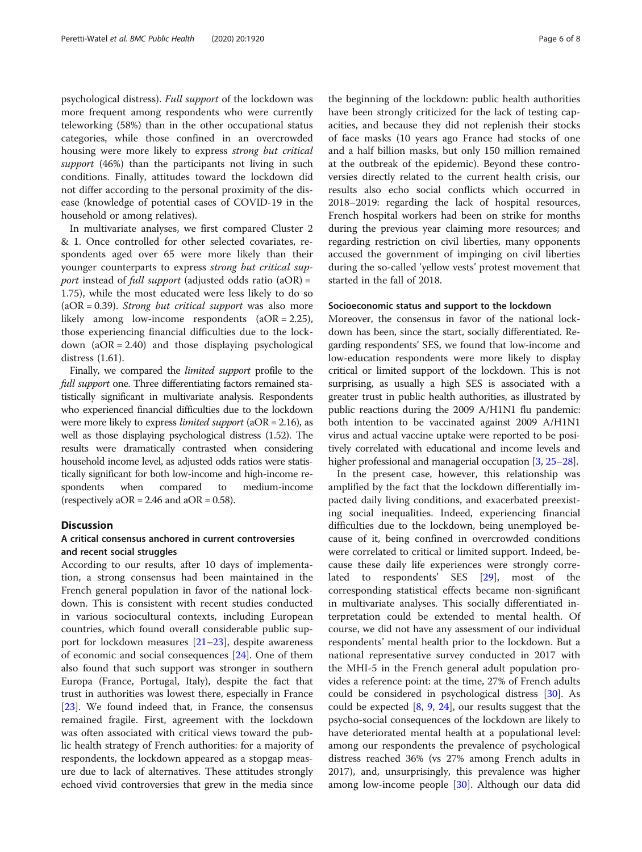psychological distress). Full support of the lockdown was more frequent among respondents who were currently teleworking (58%) than in the other occupational status categories, while those confined in an overcrowded housing were more likely to express strong but critical support (46%) than the participants not living in such conditions. Finally, attitudes toward the lockdown did not differ according to the personal proximity of the disease (knowledge of potential cases of COVID-19 in the household or among relatives).

In multivariate analyses, we first compared Cluster 2 & 1. Once controlled for other selected covariates, respondents aged over 65 were more likely than their younger counterparts to express strong but critical support instead of full support (adjusted odds ratio  $(aOR) =$ 1.75), while the most educated were less likely to do so  $(aOR = 0.39)$ . Strong but critical support was also more likely among low-income respondents (aOR = 2.25), those experiencing financial difficulties due to the lockdown  $(aOR = 2.40)$  and those displaying psychological distress (1.61).

Finally, we compared the limited support profile to the full support one. Three differentiating factors remained statistically significant in multivariate analysis. Respondents who experienced financial difficulties due to the lockdown were more likely to express *limited support* ( $aOR = 2.16$ ), as well as those displaying psychological distress (1.52). The results were dramatically contrasted when considering household income level, as adjusted odds ratios were statistically significant for both low-income and high-income respondents when compared to medium-income (respectively  $aOR = 2.46$  and  $aOR = 0.58$ ).

#### Discussion

#### A critical consensus anchored in current controversies and recent social struggles

According to our results, after 10 days of implementation, a strong consensus had been maintained in the French general population in favor of the national lockdown. This is consistent with recent studies conducted in various sociocultural contexts, including European countries, which found overall considerable public support for lockdown measures [21–23], despite awareness of economic and social consequences [24]. One of them also found that such support was stronger in southern Europa (France, Portugal, Italy), despite the fact that trust in authorities was lowest there, especially in France [23]. We found indeed that, in France, the consensus remained fragile. First, agreement with the lockdown was often associated with critical views toward the public health strategy of French authorities: for a majority of respondents, the lockdown appeared as a stopgap measure due to lack of alternatives. These attitudes strongly echoed vivid controversies that grew in the media since

the beginning of the lockdown: public health authorities have been strongly criticized for the lack of testing capacities, and because they did not replenish their stocks of face masks (10 years ago France had stocks of one and a half billion masks, but only 150 million remained at the outbreak of the epidemic). Beyond these controversies directly related to the current health crisis, our results also echo social conflicts which occurred in 2018–2019: regarding the lack of hospital resources, French hospital workers had been on strike for months during the previous year claiming more resources; and regarding restriction on civil liberties, many opponents accused the government of impinging on civil liberties during the so-called 'yellow vests' protest movement that started in the fall of 2018.

#### Socioeconomic status and support to the lockdown

Moreover, the consensus in favor of the national lockdown has been, since the start, socially differentiated. Regarding respondents' SES, we found that low-income and low-education respondents were more likely to display critical or limited support of the lockdown. This is not surprising, as usually a high SES is associated with a greater trust in public health authorities, as illustrated by public reactions during the 2009 A/H1N1 flu pandemic: both intention to be vaccinated against 2009 A/H1N1 virus and actual vaccine uptake were reported to be positively correlated with educational and income levels and higher professional and managerial occupation [3, 25–28].

In the present case, however, this relationship was amplified by the fact that the lockdown differentially impacted daily living conditions, and exacerbated preexisting social inequalities. Indeed, experiencing financial difficulties due to the lockdown, being unemployed because of it, being confined in overcrowded conditions were correlated to critical or limited support. Indeed, because these daily life experiences were strongly correlated to respondents' SES [29], most of the corresponding statistical effects became non-significant in multivariate analyses. This socially differentiated interpretation could be extended to mental health. Of course, we did not have any assessment of our individual respondents' mental health prior to the lockdown. But a national representative survey conducted in 2017 with the MHI-5 in the French general adult population provides a reference point: at the time, 27% of French adults could be considered in psychological distress [30]. As could be expected  $[8, 9, 24]$ , our results suggest that the psycho-social consequences of the lockdown are likely to have deteriorated mental health at a populational level: among our respondents the prevalence of psychological distress reached 36% (vs 27% among French adults in 2017), and, unsurprisingly, this prevalence was higher among low-income people [30]. Although our data did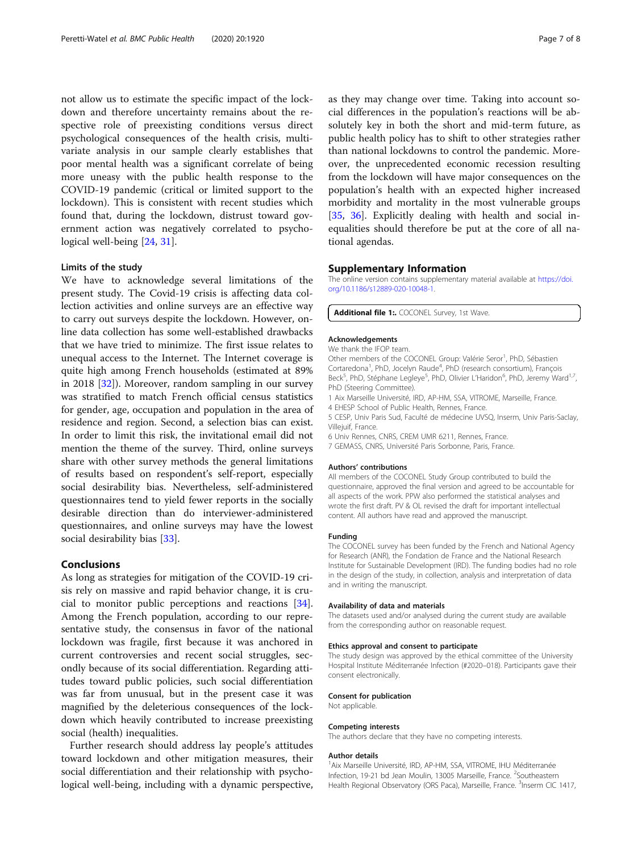not allow us to estimate the specific impact of the lockdown and therefore uncertainty remains about the respective role of preexisting conditions versus direct psychological consequences of the health crisis, multivariate analysis in our sample clearly establishes that poor mental health was a significant correlate of being more uneasy with the public health response to the COVID-19 pandemic (critical or limited support to the lockdown). This is consistent with recent studies which found that, during the lockdown, distrust toward government action was negatively correlated to psychological well-being [24, 31].

#### Limits of the study

We have to acknowledge several limitations of the present study. The Covid-19 crisis is affecting data collection activities and online surveys are an effective way to carry out surveys despite the lockdown. However, online data collection has some well-established drawbacks that we have tried to minimize. The first issue relates to unequal access to the Internet. The Internet coverage is quite high among French households (estimated at 89% in 2018 [32]). Moreover, random sampling in our survey was stratified to match French official census statistics for gender, age, occupation and population in the area of residence and region. Second, a selection bias can exist. In order to limit this risk, the invitational email did not mention the theme of the survey. Third, online surveys share with other survey methods the general limitations of results based on respondent's self-report, especially social desirability bias. Nevertheless, self-administered questionnaires tend to yield fewer reports in the socially desirable direction than do interviewer-administered questionnaires, and online surveys may have the lowest social desirability bias [33].

#### Conclusions

As long as strategies for mitigation of the COVID-19 crisis rely on massive and rapid behavior change, it is crucial to monitor public perceptions and reactions [34]. Among the French population, according to our representative study, the consensus in favor of the national lockdown was fragile, first because it was anchored in current controversies and recent social struggles, secondly because of its social differentiation. Regarding attitudes toward public policies, such social differentiation was far from unusual, but in the present case it was magnified by the deleterious consequences of the lockdown which heavily contributed to increase preexisting social (health) inequalities.

Further research should address lay people's attitudes toward lockdown and other mitigation measures, their social differentiation and their relationship with psychological well-being, including with a dynamic perspective, as they may change over time. Taking into account social differences in the population's reactions will be absolutely key in both the short and mid-term future, as public health policy has to shift to other strategies rather than national lockdowns to control the pandemic. Moreover, the unprecedented economic recession resulting from the lockdown will have major consequences on the population's health with an expected higher increased morbidity and mortality in the most vulnerable groups [35, 36]. Explicitly dealing with health and social inequalities should therefore be put at the core of all national agendas.

#### Supplementary Information

The online version contains supplementary material available at [https://doi.](https://doi.org/10.1186/s12889-020-10048-1) [org/10.1186/s12889-020-10048-1.](https://doi.org/10.1186/s12889-020-10048-1)

Additional file 1: COCONEL Survey, 1st Wave.

#### Acknowledgements

We thank the IFOP team.

Other members of the COCONEL Group: Valérie Seror<sup>1</sup>, PhD, Sébastien Cortaredona<sup>1</sup>, PhD, Jocelyn Raude<sup>4</sup>, PhD (research consortium), François Beck<sup>5</sup>, PhD, Stéphane Legleye<sup>5</sup>, PhD, Olivier L'Haridon<sup>6</sup>, PhD, Jeremy Ward<sup>1,7</sup> PhD (Steering Committee).

1 Aix Marseille Université, IRD, AP-HM, SSA, VITROME, Marseille, France. 4 EHESP School of Public Health, Rennes, France.

5 CESP, Univ Paris Sud, Faculté de médecine UVSQ, Inserm, Univ Paris-Saclay, Villejuif, France.

6 Univ Rennes, CNRS, CREM UMR 6211, Rennes, France.

7 GEMASS, CNRS, Université Paris Sorbonne, Paris, France.

#### Authors' contributions

All members of the COCONEL Study Group contributed to build the questionnaire, approved the final version and agreed to be accountable for all aspects of the work. PPW also performed the statistical analyses and wrote the first draft. PV & OL revised the draft for important intellectual content. All authors have read and approved the manuscript.

#### Funding

The COCONEL survey has been funded by the French and National Agency for Research (ANR), the Fondation de France and the National Research Institute for Sustainable Development (IRD). The funding bodies had no role in the design of the study, in collection, analysis and interpretation of data and in writing the manuscript.

#### Availability of data and materials

The datasets used and/or analysed during the current study are available from the corresponding author on reasonable request.

#### Ethics approval and consent to participate

The study design was approved by the ethical committee of the University Hospital Institute Méditerranée Infection (#2020–018). Participants gave their consent electronically.

#### Consent for publication

Not applicable.

#### Competing interests

The authors declare that they have no competing interests.

#### Author details

<sup>1</sup> Aix Marseille Université, IRD, AP-HM, SSA, VITROME, IHU Méditerranée Infection, 19-21 bd Jean Moulin, 13005 Marseille, France. <sup>2</sup>Southeastern Health Regional Observatory (ORS Paca), Marseille, France. <sup>3</sup>Inserm CIC 1417